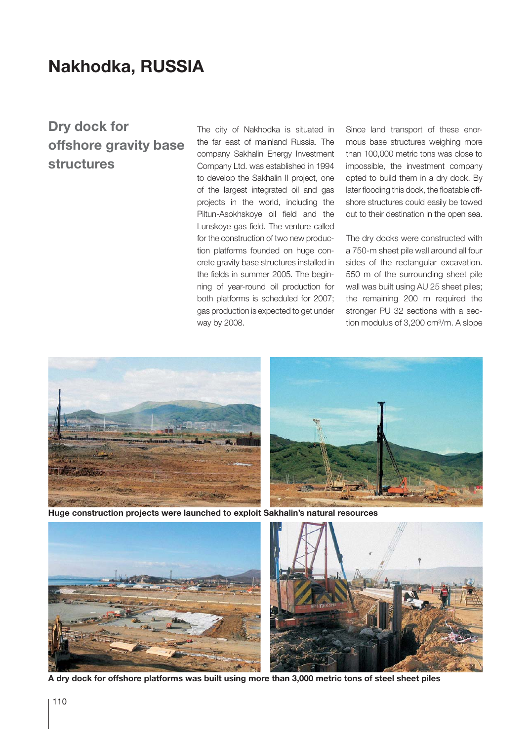## **Nakhodka, RUSSIA**

## **Dry dock for offshore gravity base structures**

The city of Nakhodka is situated in the far east of mainland Russia. The company Sakhalin Energy Investment Company Ltd. was established in 1994 to develop the Sakhalin II project, one of the largest integrated oil and gas projects in the world, including the Piltun-Asokhskoye oil field and the Lunskoye gas field. The venture called for the construction of two new production platforms founded on huge concrete gravity base structures installed in the fields in summer 2005. The beginning of year-round oil production for both platforms is scheduled for 2007; gas production is expected to get under way by 2008.

Since land transport of these enormous base structures weighing more than 100,000 metric tons was close to impossible, the investment company opted to build them in a dry dock. By later flooding this dock, the floatable offshore structures could easily be towed out to their destination in the open sea.

The dry docks were constructed with a 750-m sheet pile wall around all four sides of the rectangular excavation. 550 m of the surrounding sheet pile wall was built using AU 25 sheet piles; the remaining 200 m required the stronger PU 32 sections with a section modulus of 3,200 cm<sup>3</sup>/m. A slope



**Huge construction projects were launched to exploit Sakhalin's natural resources**



**A dry dock for offshore platforms was built using more than 3,000 metric tons of steel sheet piles**